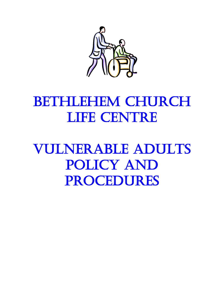

# BETHLEHEM CHURCH LIFE CENTRE

Vulnerable Adults Policy and **PROCEDURES**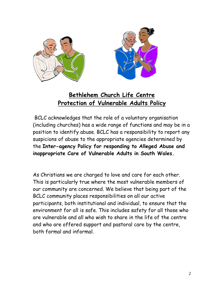

# **Bethlehem Church Life Centre Protection of Vulnerable Adults Policy**

BCLC acknowledges that the role of a voluntary organisation (including churches) has a wide range of functions and may be in a position to identify abuse. BCLC has a responsibility to report any suspicions of abuse to the appropriate agencies determined by the **Inter-agency Policy for responding to Alleged Abuse and inappropriate Care of Vulnerable Adults in South Wales.**

As Christians we are charged to love and care for each other. This is particularly true where the most vulnerable members of our community are concerned. We believe that being part of the BCLC community places responsibilities on all our active participants, both institutional and individual, to ensure that the environment for all is safe. This includes safety for all those who are vulnerable and all who wish to share in the life of the centre and who are offered support and pastoral care by the centre, both formal and informal.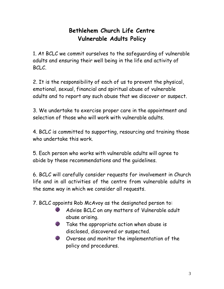# **Bethlehem Church Life Centre Vulnerable Adults Policy**

1. At BCLC we commit ourselves to the safeguarding of vulnerable adults and ensuring their well being in the life and activity of BCLC.

2. It is the responsibility of each of us to prevent the physical, emotional, sexual, financial and spiritual abuse of vulnerable adults and to report any such abuse that we discover or suspect.

3. We undertake to exercise proper care in the appointment and selection of those who will work with vulnerable adults.

4. BCLC is committed to supporting, resourcing and training those who undertake this work.

5. Each person who works with vulnerable adults will agree to abide by these recommendations and the guidelines.

6. BCLC will carefully consider requests for involvement in Church life and in all activities of the centre from vulnerable adults in the same way in which we consider all requests.

7. BCLC appoints Rob McAvoy as the designated person to:

- Advise BCLC on any matters of Vulnerable adult abuse arising.
- **Take the appropriate action when abuse is** disclosed, discovered or suspected.
- **EXECUTE:** Oversee and monitor the implementation of the policy and procedures.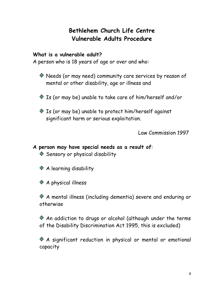# **Bethlehem Church Life Centre Vulnerable Adults Procedure**

## **What is a vulnerable adult?**

A person who is 18 years of age or over and who:

- Needs (or may need) community care services by reason of mental or other disability, age or illness and
- Is (or may be) unable to take care of him/herself and/or
- Is (or may be) unable to protect him/herself against significant harm or serious exploitation.

Law Commission 1997

#### **A person may have special needs as a result of**: ◆ Sensory or physical disability

A learning disability

◆ A physical illness

A mental illness (including dementia) severe and enduring or otherwise

An addiction to drugs or alcohol (although under the terms of the Disability Discrimination Act 1995, this is excluded)

A significant reduction in physical or mental or emotional capacity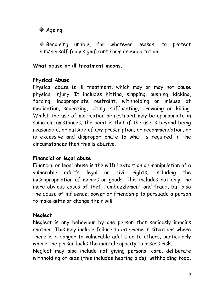

Becoming unable, for whatever reason, to protect him/herself from significant harm or exploitation.

**What abuse or ill treatment means.**

### **Physical Abuse**

Physical abuse is ill treatment, which may or may not cause physical injury. It includes hitting, slapping, pushing, kicking, forcing, inappropriate restraint, withholding or misuse of medication, squeezing, biting, suffocating, drowning or killing. Whilst the use of medication or restraint may be appropriate in some circumstances, the point is that if the use is beyond being reasonable, or outside of any prescription, or recommendation, or is excessive and disproportionate to what is required in the circumstances then this is abusive.

#### **Financial or legal abuse**

Financial or legal abuse is the wilful extortion or manipulation of a vulnerable adult's legal or civil rights, including the misappropriation of monies or goods. This includes not only the more obvious cases of theft, embezzlement and fraud, but also the abuse of influence, power or friendship to persuade a person to make gifts or change their will.

## **Neglect**

Neglect is any behaviour by one person that seriously impairs another. This may include failure to intervene in situations where there is a danger to vulnerable adults or to others, particularly where the person lacks the mental capacity to assess risk.

Neglect may also include not giving personal care, deliberate withholding of aids (this includes hearing aids), withholding food,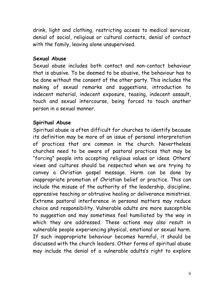drink, light and clothing, restricting access to medical services, denial of social, religious or cultural contacts, denial of contact with the family, leaving alone unsupervised.

#### **Sexual Abuse**

Sexual abuse includes both contact and non-contact behaviour that is abusive. To be deemed to be abusive, the behaviour has to be done without the consent of the other party. This includes the making of sexual remarks and suggestions, introduction to indecent material, indecent exposure, teasing, indecent assault, touch and sexual intercourse, being forced to touch another person in a sexual manner.

#### **Spiritual Abuse**

Spiritual abuse is often difficult for churches to identify because its definition may be more of an issue of personal interpretation of practices that are common in the church. Nevertheless churches need to be aware of pastoral practices that may be "forcing" people into accepting religious values or ideas. Others' views and cultures should be respected when we are trying to convey a Christian gospel message. Harm can be done by inappropriate promotion of Christian belief or practice. This can include the misuse of the authority of the leadership, discipline, oppressive teaching or obtrusive healing or deliverance ministries. Extreme pastoral interference in personal matters may reduce choice and responsibility. Vulnerable adults are more susceptible to suggestion and may sometimes feel humiliated by the way in which they are addressed. These actions may also result in vulnerable people experiencing physical, emotional or sexual harm. If such inappropriate behaviour becomes harmful, it should be discussed with the church leaders. Other forms of spiritual abuse may include the denial of a vulnerable adults's right to explore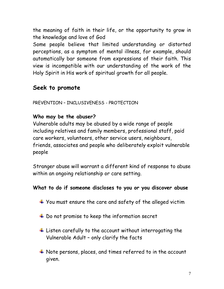the meaning of faith in their life, or the opportunity to grow in the knowledge and love of God

Some people believe that limited understanding or distorted perceptions, as a symptom of mental illness, for example, should automatically bar someone from expressions of their faith. This view is incompatible with our understanding of the work of the Holy Spirit in His work of spiritual growth for all people.

# **Seek to promote**

PREVENTION – INCLUSIVENESS - PROTECTION

## **Who may be the abuser?**

Vulnerable adults may be abused by a wide range of people including relatives and family members, professional staff, paid care workers, volunteers, other service users, neighbours, friends, associates and people who deliberately exploit vulnerable people

Stranger abuse will warrant a different kind of response to abuse within an ongoing relationship or care setting.

## **What to do if someone discloses to you or you discover abuse**

- You must ensure the care and safety of the alleged victim
- $\ddot{\bullet}$  Do not promise to keep the information secret
- $\ddot{\text{+}}$  Listen carefully to the account without interrogating the Vulnerable Adult – only clarify the facts
- Note persons, places, and times referred to in the account given.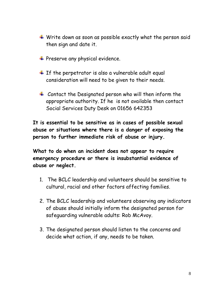- $\overline{\textbf{I}}$  Write down as soon as possible exactly what the person said then sign and date it.
- + Preserve any physical evidence.
- $\pm$  If the perpetrator is also a vulnerable adult equal consideration will need to be given to their needs.
- $\pm$  Contact the Designated person who will then inform the appropriate authority. If he is not available then contact Social Services Duty Desk on 01656 642353

**It is essential to be sensitive as in cases of possible sexual abuse or situations where there is a danger of exposing the person to further immediate risk of abuse or injury.**

**What to do when an incident does not appear to require emergency procedure or there is insubstantial evidence of abuse or neglect.**

- 1. The BCLC leadership and volunteers should be sensitive to cultural, racial and other factors affecting families.
- 2. The BCLC leadership and volunteers observing any indicators of abuse should initially inform the designated person for safeguarding vulnerable adults: Rob McAvoy.
- 3. The designated person should listen to the concerns and decide what action, if any, needs to be taken.